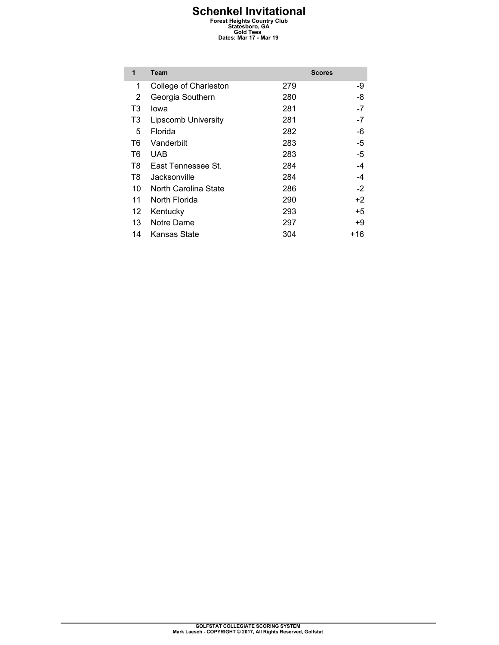# **Schenkel Invitational**<br>
Forest Heights Country Club<br>
Statesboro, GA<br>
Cold Tees<br>
Dates: Mar 17 - Mar 19

| 1  | <b>Team</b>                |     | <b>Scores</b> |
|----|----------------------------|-----|---------------|
| 1  | College of Charleston      | 279 | -9            |
| 2  | Georgia Southern           | 280 | -8            |
| T3 | lowa                       | 281 | $-7$          |
| T3 | <b>Lipscomb University</b> | 281 | $-7$          |
| 5  | Florida                    | 282 | -6            |
| T6 | Vanderbilt                 | 283 | -5            |
| T6 | <b>UAB</b>                 | 283 | -5            |
| T8 | East Tennessee St.         | 284 | -4            |
| T8 | Jacksonville               | 284 | -4            |
| 10 | North Carolina State       | 286 | $-2$          |
| 11 | North Florida              | 290 | +2            |
| 12 | Kentucky                   | 293 | +5            |
| 13 | Notre Dame                 | 297 | +9            |
| 14 | Kansas State               | 304 | +16           |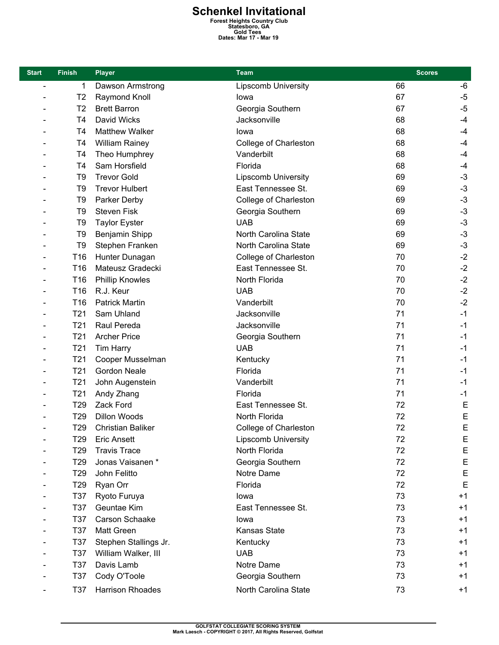**Schenkel Invitational**<br>
Forest Heights Country Club<br>
Statesboro, GA<br>
Cold Tees<br>
Dates: Mar 17 - Mar 19

| <b>Start</b>             | <b>Finish</b>   | <b>Player</b>            | <b>Team</b>                | <b>Scores</b> |              |
|--------------------------|-----------------|--------------------------|----------------------------|---------------|--------------|
| $\overline{\phantom{0}}$ | 1               | Dawson Armstrong         | <b>Lipscomb University</b> | 66            | -6           |
|                          | T <sub>2</sub>  | Raymond Knoll            | lowa                       | 67            | $-5$         |
|                          | T <sub>2</sub>  | <b>Brett Barron</b>      | Georgia Southern           | 67            | $-5$         |
|                          | T <sub>4</sub>  | David Wicks              | Jacksonville               | 68            | $-4$         |
|                          | T <sub>4</sub>  | Matthew Walker           | lowa                       | 68            | $-4$         |
|                          | T4              | <b>William Rainey</b>    | College of Charleston      | 68            | $-4$         |
|                          | T4              | Theo Humphrey            | Vanderbilt                 | 68            | $-4$         |
|                          | T <sub>4</sub>  | Sam Horsfield            | Florida                    | 68            | $-4$         |
|                          | T <sub>9</sub>  | <b>Trevor Gold</b>       | <b>Lipscomb University</b> | 69            | $-3$         |
|                          | T <sub>9</sub>  | <b>Trevor Hulbert</b>    | East Tennessee St.         | 69            | $-3$         |
|                          | T <sub>9</sub>  | Parker Derby             | College of Charleston      | 69            | $-3$         |
|                          | T <sub>9</sub>  | <b>Steven Fisk</b>       | Georgia Southern           | 69            | $-3$         |
|                          | T <sub>9</sub>  | <b>Taylor Eyster</b>     | <b>UAB</b>                 | 69            | $-3$         |
|                          | T <sub>9</sub>  | Benjamin Shipp           | North Carolina State       | 69            | $-3$         |
|                          | T <sub>9</sub>  | Stephen Franken          | North Carolina State       | 69            | $-3$         |
|                          | T16             | Hunter Dunagan           | College of Charleston      | 70            | $-2$         |
|                          | T16             | Mateusz Gradecki         | East Tennessee St.         | 70            | $-2$         |
|                          | T <sub>16</sub> | <b>Phillip Knowles</b>   | North Florida              | 70            | $-2$         |
|                          | T16             | R.J. Keur                | <b>UAB</b>                 | 70            | $-2$         |
|                          | T16             | <b>Patrick Martin</b>    | Vanderbilt                 | 70            | $-2$         |
|                          | T <sub>21</sub> | Sam Uhland               | Jacksonville               | 71            | $-1$         |
|                          | T <sub>21</sub> | Raul Pereda              | Jacksonville               | 71            | $-1$         |
|                          | T <sub>21</sub> | <b>Archer Price</b>      | Georgia Southern           | 71            | $-1$         |
|                          | T <sub>21</sub> | <b>Tim Harry</b>         | <b>UAB</b>                 | 71            | $-1$         |
| $\qquad \qquad$          | T <sub>21</sub> | Cooper Musselman         | Kentucky                   | 71            | $-1$         |
|                          | T21             | <b>Gordon Neale</b>      | Florida                    | 71            | $-1$         |
|                          | T <sub>21</sub> | John Augenstein          | Vanderbilt                 | 71            | $-1$         |
|                          | T <sub>21</sub> | Andy Zhang               | Florida                    | 71            | $-1$         |
|                          | T <sub>29</sub> | Zack Ford                | East Tennessee St.         | 72            | E            |
|                          | T <sub>29</sub> | Dillon Woods             | North Florida              | 72            | $\mathsf{E}$ |
|                          | T <sub>29</sub> | <b>Christian Baliker</b> | College of Charleston      | 72            | E            |
|                          | T <sub>29</sub> | <b>Eric Ansett</b>       | <b>Lipscomb University</b> | 72            | Е            |
|                          | T <sub>29</sub> | <b>Travis Trace</b>      | North Florida              | 72            | E            |
|                          | T <sub>29</sub> | Jonas Vaisanen *         | Georgia Southern           | 72            | E            |
|                          | T <sub>29</sub> | John Felitto             | Notre Dame                 | 72            | E            |
|                          | T <sub>29</sub> | Ryan Orr                 | Florida                    | 72            | $\mathsf E$  |
|                          | T37             | Ryoto Furuya             | lowa                       | 73            | $+1$         |
|                          | T37             | Geuntae Kim              | East Tennessee St.         | 73            | $+1$         |
|                          | <b>T37</b>      | Carson Schaake           | lowa                       | 73            | $+1$         |
|                          | T37             | <b>Matt Green</b>        | Kansas State               | 73            | $+1$         |
|                          | T37             | Stephen Stallings Jr.    | Kentucky                   | 73            | $+1$         |
|                          | T37             | William Walker, III      | <b>UAB</b>                 | 73            | $+1$         |
|                          | T37             | Davis Lamb               | Notre Dame                 | 73            | $+1$         |
|                          | T37             | Cody O'Toole             | Georgia Southern           | 73            | $+1$         |
|                          | T37             | Harrison Rhoades         | North Carolina State       | 73            | $+1$         |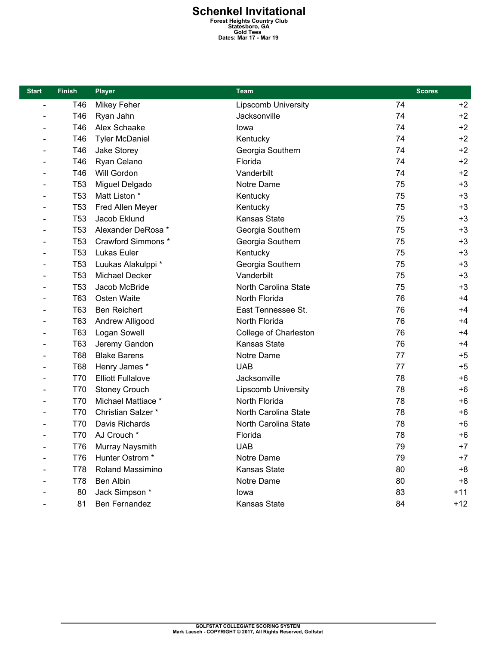# **Schenkel Invitational**<br>
Forest Heights Country Club<br>
Statesboro, GA<br>
Cold Tees<br>
Dates: Mar 17 - Mar 19

| <b>Start</b>                 | <b>Finish</b>   | <b>Player</b>            | <b>Team</b>                | <b>Scores</b> |       |
|------------------------------|-----------------|--------------------------|----------------------------|---------------|-------|
| $\qquad \qquad \blacksquare$ | T46             | Mikey Feher              | <b>Lipscomb University</b> | 74            | $+2$  |
|                              | T46             | Ryan Jahn                | Jacksonville               | 74            | $+2$  |
|                              | T46             | Alex Schaake             | lowa                       | 74            | $+2$  |
|                              | T46             | <b>Tyler McDaniel</b>    | Kentucky                   | 74            | $+2$  |
|                              | T46             | Jake Storey              | Georgia Southern           | 74            | $+2$  |
| $\overline{\phantom{0}}$     | T46             | Ryan Celano              | Florida                    | 74            | $+2$  |
|                              | T46             | Will Gordon              | Vanderbilt                 | 74            | $+2$  |
|                              | <b>T53</b>      | Miguel Delgado           | Notre Dame                 | 75            | $+3$  |
|                              | T <sub>53</sub> | Matt Liston *            | Kentucky                   | 75            | $+3$  |
|                              | T <sub>53</sub> | Fred Allen Meyer         | Kentucky                   | 75            | $+3$  |
|                              | T <sub>53</sub> | Jacob Eklund             | Kansas State               | 75            | $+3$  |
|                              | T <sub>53</sub> | Alexander DeRosa *       | Georgia Southern           | 75            | $+3$  |
|                              | T <sub>53</sub> | Crawford Simmons *       | Georgia Southern           | 75            | $+3$  |
|                              | T <sub>53</sub> | Lukas Euler              | Kentucky                   | 75            | $+3$  |
| $\qquad \qquad$              | T <sub>53</sub> | Luukas Alakulppi *       | Georgia Southern           | 75            | $+3$  |
|                              | T <sub>53</sub> | Michael Decker           | Vanderbilt                 | 75            | $+3$  |
|                              | T <sub>53</sub> | Jacob McBride            | North Carolina State       | 75            | $+3$  |
|                              | T63             | Osten Waite              | North Florida              | 76            | $+4$  |
|                              | T63             | <b>Ben Reichert</b>      | East Tennessee St.         | 76            | $+4$  |
|                              | T63             | Andrew Alligood          | North Florida              | 76            | $+4$  |
|                              | T63             | Logan Sowell             | College of Charleston      | 76            | $+4$  |
|                              | T63             | Jeremy Gandon            | <b>Kansas State</b>        | 76            | $+4$  |
|                              | <b>T68</b>      | <b>Blake Barens</b>      | Notre Dame                 | 77            | $+5$  |
| $\qquad \qquad$              | <b>T68</b>      | Henry James *            | <b>UAB</b>                 | 77            | $+5$  |
|                              | T70             | <b>Elliott Fullalove</b> | Jacksonville               | 78            | $+6$  |
|                              | T70             | <b>Stoney Crouch</b>     | <b>Lipscomb University</b> | 78            | $+6$  |
|                              | T70             | Michael Mattiace *       | North Florida              | 78            | $+6$  |
|                              | T70             | Christian Salzer *       | North Carolina State       | 78            | $+6$  |
|                              | <b>T70</b>      | Davis Richards           | North Carolina State       | 78            | $+6$  |
|                              | T70             | AJ Crouch *              | Florida                    | 78            | $+6$  |
|                              | T76             | Murray Naysmith          | <b>UAB</b>                 | 79            | $+7$  |
|                              | <b>T76</b>      | Hunter Ostrom *          | Notre Dame                 | 79            | $+7$  |
|                              | T78             | Roland Massimino         | Kansas State               | 80            | $+8$  |
|                              | T78             | Ben Albin                | Notre Dame                 | 80            | $+8$  |
|                              | 80              | Jack Simpson *           | lowa                       | 83            | $+11$ |
|                              | 81              | Ben Fernandez            | Kansas State               | 84            | $+12$ |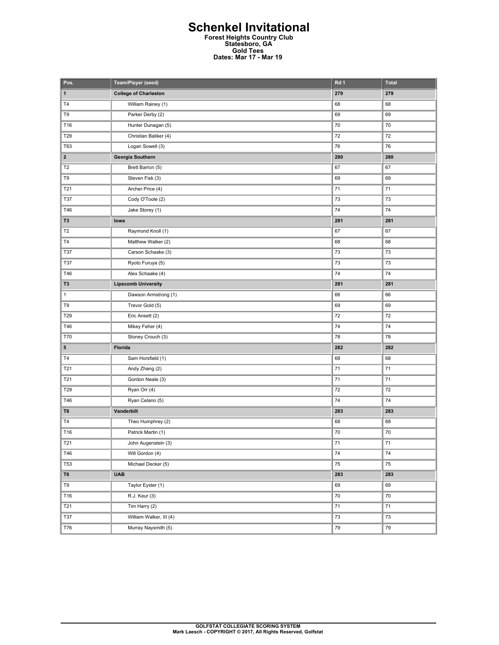### **Schenkel Invitational Forest Heights Country Club Statesboro, GA Gold Tees Dates: Mar 17 - Mar 19**

| Pos.                    | Team/Player (seed)           | Rd 1   | <b>Total</b> |
|-------------------------|------------------------------|--------|--------------|
| 1                       | <b>College of Charleston</b> | 279    | 279          |
| T4                      | William Rainey (1)           | 68     | 68           |
| T9                      | Parker Derby (2)             | 69     | 69           |
| T16                     | Hunter Dunagan (5)           | 70     | 70           |
| T29                     | Christian Baliker (4)        | 72     | 72           |
| T63                     | Logan Sowell (3)             | 76     | 76           |
| $\overline{\mathbf{2}}$ | Georgia Southern             | 280    | 280          |
| T <sub>2</sub>          | Brett Barron (5)             | 67     | 67           |
| T9                      | Steven Fisk (3)              | 69     | 69           |
| T21                     | Archer Price (4)             | 71     | 71           |
| <b>T37</b>              | Cody O'Toole (2)             | 73     | 73           |
| T46                     | Jake Storey (1)              | 74     | 74           |
| T <sub>3</sub>          | lowa                         | 281    | 281          |
| T <sub>2</sub>          | Raymond Knoll (1)            | 67     | 67           |
| T4                      | Matthew Walker (2)           | 68     | 68           |
| <b>T37</b>              | Carson Schaake (3)           | 73     | 73           |
| <b>T37</b>              | Ryoto Furuya (5)             | 73     | 73           |
| T46                     | Alex Schaake (4)             | 74     | 74           |
| T <sub>3</sub>          | <b>Lipscomb University</b>   | 281    | 281          |
| $\mathbf{1}$            | Dawson Armstrong (1)         | 66     | 66           |
| T9                      | Trevor Gold (5)              | 69     | 69           |
| T29                     | Eric Ansett (2)              | 72     | 72           |
| T46                     | Mikey Feher (4)              | 74     | 74           |
| T70                     | Stoney Crouch (3)            | 78     | 78           |
| 5                       | Florida                      | 282    | 282          |
| T4                      | Sam Horsfield (1)            | 68     | 68           |
| T21                     | Andy Zhang (2)               | $71\,$ | $\bf 71$     |
| T21                     | Gordon Neale (3)             | 71     | 71           |
| T29                     | Ryan Orr (4)                 | 72     | 72           |
| T46                     | Ryan Celano (5)              | 74     | 74           |
| T6                      | Vanderbilt                   | 283    | 283          |
| T4                      | Theo Humphrey (2)            | 68     | 68           |
| T16                     | Patrick Martin (1)           | 70     | 70           |
| <b>T21</b>              | John Augenstein (3)          | 71     | 71           |
| T46                     | Will Gordon (4)              | 74     | 74           |
| T53                     | Michael Decker (5)           | 75     | 75           |
| T6                      | <b>UAB</b>                   | 283    | 283          |
| T9                      | Taylor Eyster (1)            | 69     | 69           |
| T16                     | R.J. Keur (3)                | $70\,$ | $70\,$       |
| T21                     | Tim Harry (2)                | 71     | 71           |
| T37                     | William Walker, III (4)      | 73     | 73           |
| T76                     | Murray Naysmith (5)          | 79     | 79           |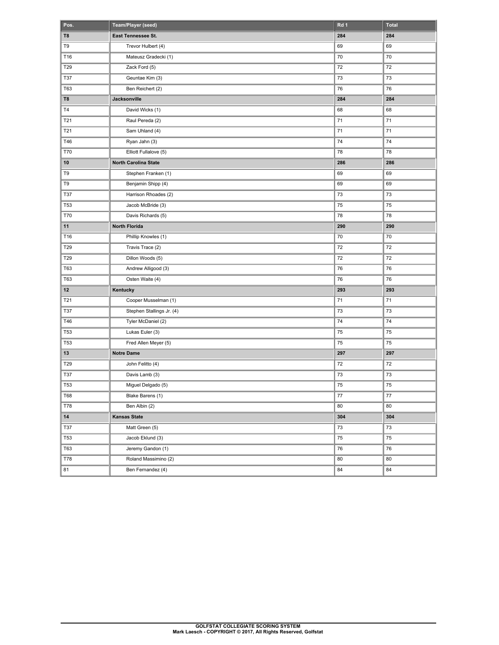| Pos.       | Team/Player (seed)          | Rd 1       | Total      |
|------------|-----------------------------|------------|------------|
| T8         | East Tennessee St.          | 284        | 284        |
| T9         | Trevor Hulbert (4)          | 69         | 69         |
| T16        | Mateusz Gradecki (1)        | 70         | 70         |
| T29        | Zack Ford (5)               | 72         | 72         |
| T37        | Geuntae Kim (3)             | 73         | 73         |
| T63        | Ben Reichert (2)            | 76         | 76         |
| T8         | Jacksonville                | 284        | 284        |
| T4         | David Wicks (1)             | 68         | 68         |
| T21        | Raul Pereda (2)             | 71         | 71         |
| T21        | Sam Uhland (4)              | 71         | 71         |
| T46        | Ryan Jahn (3)               | 74         | 74         |
| <b>T70</b> | Elliott Fullalove (5)       | 78         | 78         |
| 10         | <b>North Carolina State</b> | 286        | 286        |
| T9         | Stephen Franken (1)         | 69         | 69         |
| T9         | Benjamin Shipp (4)          | 69         | 69         |
| <b>T37</b> | Harrison Rhoades (2)        | 73         | 73         |
| T53        | Jacob McBride (3)           | 75         | 75         |
| <b>T70</b> | Davis Richards (5)          | 78         | 78         |
| 11         | <b>North Florida</b>        | 290        | 290        |
| T16        | Phillip Knowles (1)         | 70         | 70         |
| T29        | Travis Trace (2)            | 72         | 72         |
| T29        | Dillon Woods (5)            | 72         | 72         |
| T63        | Andrew Alligood (3)         | 76         | 76         |
| <b>T63</b> | Osten Waite (4)             | 76         | 76         |
| 12         | Kentucky                    | 293        | 293        |
| T21        | Cooper Musselman (1)        | 71         | 71         |
| T37        | Stephen Stallings Jr. (4)   | 73         | 73         |
| T46        | Tyler McDaniel (2)          | 74         | 74         |
| T53        | Lukas Euler (3)             | 75         | 75         |
| <b>T53</b> | Fred Allen Meyer (5)        | 75         | 75         |
| 13         | <b>Notre Dame</b>           | 297        | 297        |
| T29        | John Felitto (4)            | 72         | 72         |
| <b>T37</b> | Davis Lamb (3)              | 73         | 73         |
| <b>T53</b> | Miguel Delgado (5)          | ${\bf 75}$ | ${\bf 75}$ |
| T68        | Blake Barens (1)            | 77         | 77         |
| <b>T78</b> | Ben Albin (2)               | 80         | 80         |
| 14         | <b>Kansas State</b>         | 304        | 304        |
| T37        | Matt Green (5)              | 73         | $73\,$     |
| <b>T53</b> | Jacob Eklund (3)            | 75         | 75         |
| <b>T63</b> | Jeremy Gandon (1)           | 76         | 76         |
| T78        | Roland Massimino (2)        | 80         | 80         |
| 81         | Ben Fernandez (4)           | 84         | 84         |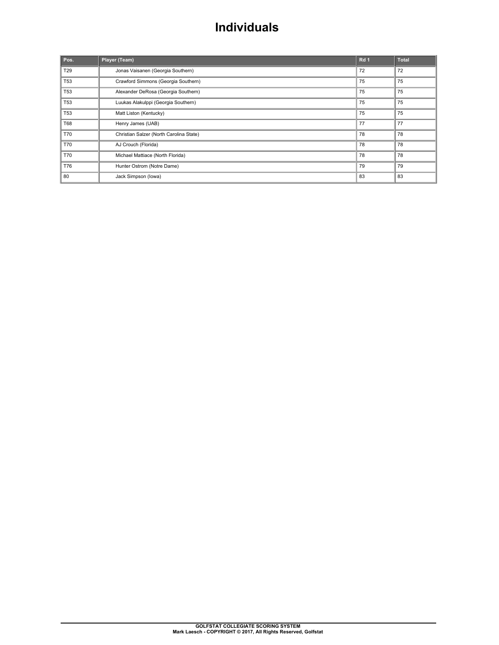### **Individuals**

| Pos.            | Player (Team)                           | Rd <sub>1</sub> | <b>Total</b> |
|-----------------|-----------------------------------------|-----------------|--------------|
| T <sub>29</sub> | Jonas Vaisanen (Georgia Southern)       | 72              | 72           |
| <b>T53</b>      | Crawford Simmons (Georgia Southern)     | 75              | 75           |
| <b>T53</b>      | Alexander DeRosa (Georgia Southern)     | 75              | 75           |
| <b>T53</b>      | Luukas Alakulppi (Georgia Southern)     | 75              | 75           |
| <b>T53</b>      | Matt Liston (Kentucky)                  | 75              | 75           |
| T68             | Henry James (UAB)                       | 77              | 77           |
| <b>T70</b>      | Christian Salzer (North Carolina State) | 78              | 78           |
| T70             | AJ Crouch (Florida)                     | 78              | 78           |
| <b>T70</b>      | Michael Mattiace (North Florida)        | 78              | 78           |
| T76             | Hunter Ostrom (Notre Dame)              | 79              | 79           |
| 80              | Jack Simpson (lowa)                     | 83              | 83           |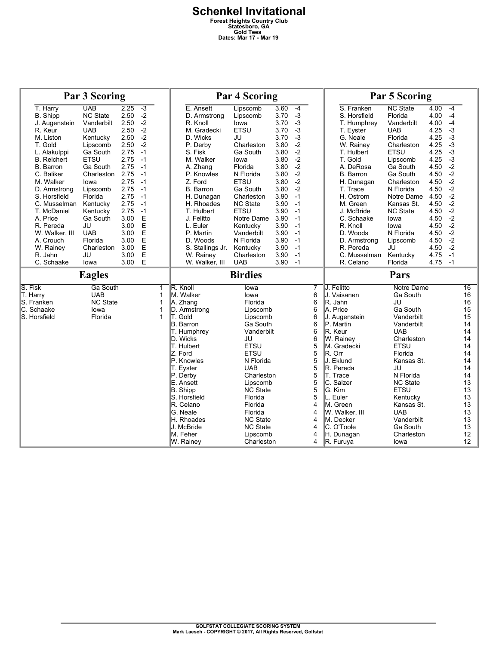|                        | <b>Par 3 Scoring</b>   |              |                  |                  |                               | <b>Par 4 Scoring</b>   |              |              |        | <b>Par 5 Scoring</b>      |                 |              |              |                   |
|------------------------|------------------------|--------------|------------------|------------------|-------------------------------|------------------------|--------------|--------------|--------|---------------------------|-----------------|--------------|--------------|-------------------|
| T. Harry               | <b>UAB</b>             | 2.25         | $-3$             |                  | E. Ansett                     | Lipscomb               | 3.60         | $-4$         |        | S. Franken                | <b>NC State</b> | 4.00         | $-4$         |                   |
| <b>B.</b> Shipp        | <b>NC State</b>        | 2.50         | $-2$             |                  | D. Armstrong                  | Lipscomb               | 3.70         | $-3$         |        | S. Horsfield              | Florida         | 4.00         | $-4$         |                   |
| J. Augenstein          | Vanderbilt             | 2.50         | $-2$             |                  | R. Knoll                      | lowa                   | 3.70         | $-3$         |        | T. Humphrey               | Vanderbilt      | 4.00         | $-4$         |                   |
| R. Keur                | <b>UAB</b>             | 2.50         | $-2$             |                  | M. Gradecki                   | <b>ETSU</b>            | 3.70         | $-3$         |        | T. Eyster                 | <b>UAB</b>      | 4.25         | $-3$         |                   |
| M. Liston              | Kentucky               | 2.50         | $-2$             |                  | D. Wicks                      | JU                     | 3.70         | $-3$         |        | G. Neale                  | Florida         | 4.25         | $-3$         |                   |
| T. Gold                | Lipscomb               | 2.50         | $-2$             |                  | P. Derby                      | Charleston             | 3.80         | $-2$         |        | W. Rainey                 | Charleston      | 4.25         | $-3$         |                   |
| L. Alakulppi           | Ga South               | 2.75         | $-1$             |                  | S. Fisk                       | Ga South               | 3.80         | $-2$         |        | T. Hulbert                | <b>ETSU</b>     | 4.25         | $-3$         |                   |
| <b>B.</b> Reichert     | <b>ETSU</b>            | 2.75         | $-1$             |                  | M. Walker                     | lowa                   | 3.80         | $-2$         |        | T. Gold                   | Lipscomb        | 4.25         | $-3$         |                   |
| B. Barron              | Ga South               | 2.75         | -1               |                  | A. Zhang                      | Florida                | 3.80         | $-2$         |        | A. DeRosa                 | Ga South        | 4.50         | $-2$         |                   |
| C. Baliker             | Charleston             | 2.75         | $-1$             |                  | P. Knowles                    | N Florida              | 3.80         | $-2$         |        | B. Barron                 | Ga South        | 4.50         | $-2$         |                   |
| M. Walker              | lowa                   | 2.75         | $-1$             |                  | Z. Ford                       | <b>ETSU</b>            | 3.80         | $-2$         |        | H. Dunagan                | Charleston      | 4.50         | $-2$         |                   |
| D. Armstrong           | Lipscomb               | 2.75         | $-1$             |                  | B. Barron                     | Ga South               | 3.80         | $-2$         |        | T. Trace                  | N Florida       | 4.50         | $-2$         |                   |
| S. Horsfield           | Florida                | 2.75         | $-1$             |                  | H. Dunagan                    | Charleston             | 3.90         | $-1$         |        | H. Ostrom                 | Notre Dame      | 4.50         | $-2$         |                   |
| C. Musselman           | Kentucky               | 2.75         | $-1$             |                  | H. Rhoades                    | <b>NC State</b>        | 3.90         | $-1$         |        | M. Green                  | Kansas St.      | 4.50         | $-2$         |                   |
| T. McDaniel            | Kentucky               | 2.75         | $-1$             |                  | T. Hulbert                    | <b>ETSU</b>            | 3.90         | $-1$         |        | J. McBride                | <b>NC State</b> | 4.50         | $-2$         |                   |
| A. Price               | Ga South               | 3.00         | E                |                  | J. Felitto                    | Notre Dame             | 3.90         | $-1$<br>$-1$ |        | C. Schaake                | lowa            | 4.50         | $-2$<br>$-2$ |                   |
| R. Pereda              | JU                     | 3.00         | $\mathsf E$<br>E |                  | L. Euler                      | Kentucky               | 3.90         | $-1$         |        | R. Knoll<br>D. Woods      | lowa            | 4.50         |              |                   |
| W. Walker, III         | <b>UAB</b>             | 3.00         | E                |                  | P. Martin                     | Vanderbilt             | 3.90         | $-1$         |        |                           | N Florida       | 4.50         | $-2$         |                   |
| A. Crouch              | Florida                | 3.00<br>3.00 | E                |                  | D. Woods                      | N Florida              | 3.90<br>3.90 | $-1$         |        | D. Armstrong<br>R. Pereda | Lipscomb<br>JU  | 4.50<br>4.50 | $-2$<br>$-2$ |                   |
| W. Rainey<br>R. Jahn   | Charleston<br>JU       | 3.00         | E                |                  | S. Stallings Jr.<br>W. Rainey | Kentucky<br>Charleston | 3.90         | $-1$         |        | C. Musselman              | Kentucky        | 4.75         | $-1$         |                   |
| C. Schaake             | lowa                   | 3.00         | E                |                  | W. Walker, III                | <b>UAB</b>             | 3.90         | $-1$         |        | R. Celano                 | Florida         | 4.75         | $-1$         |                   |
|                        | <b>Eagles</b>          |              |                  |                  |                               | <b>Birdies</b>         |              |              |        |                           | Pars            |              |              |                   |
|                        |                        |              |                  |                  |                               |                        |              |              |        |                           | Notre Dame      |              |              |                   |
| S. Fisk                | Ga South<br><b>UAB</b> |              |                  | $\mathbf 1$<br>1 | R. Knoll<br>M. Walker         | lowa<br>lowa           |              |              | 7<br>6 | J. Felitto<br>J. Vaisanen | Ga South        |              |              | 16<br>16          |
| T. Harry<br>S. Franken | <b>NC State</b>        |              |                  | 1                | A. Zhang                      | Florida                |              |              | 6      | R. Jahn                   | JU              |              |              | 16                |
| C. Schaake             | lowa                   |              |                  | 1                | D. Armstrong                  | Lipscomb               |              |              | 6      | A. Price                  | Ga South        |              |              | 15                |
| S. Horsfield           | Florida                |              |                  | $\mathbf{1}$     | T. Gold                       | Lipscomb               |              |              | 6      | J. Augenstein             | Vanderbilt      |              |              | 15                |
|                        |                        |              |                  |                  | <b>B.</b> Barron              | Ga South               |              |              | 6      | P. Martin                 | Vanderbilt      |              |              | 14                |
|                        |                        |              |                  |                  | T. Humphrey                   | Vanderbilt             |              |              | 6      | R. Keur                   | <b>UAB</b>      |              |              | 14                |
|                        |                        |              |                  |                  | D. Wicks                      | JU                     |              |              | 6      | W. Rainey                 | Charleston      |              |              | 14                |
|                        |                        |              |                  |                  | T. Hulbert                    | <b>ETSU</b>            |              |              | 5      | M. Gradecki               | <b>ETSU</b>     |              |              | 14                |
|                        |                        |              |                  |                  | Z. Ford                       | <b>ETSU</b>            |              |              | 5      | $R$ . Orr                 | Florida         |              |              | 14                |
|                        |                        |              |                  |                  | P. Knowles                    | N Florida              |              |              | 5      | IJ. Eklund                | Kansas St.      |              |              | 14                |
|                        |                        |              |                  |                  | T. Eyster                     | <b>UAB</b>             |              |              | 5      | R. Pereda                 | JU              |              |              | 14                |
|                        |                        |              |                  |                  | P. Derby                      | Charleston             |              |              | 5      | T. Trace                  | N Florida       |              |              | 14                |
|                        |                        |              |                  |                  | E. Ansett                     | Lipscomb               |              |              | 5      | C. Salzer                 | <b>NC State</b> |              |              | 13                |
|                        |                        |              |                  |                  | B. Shipp                      | <b>NC State</b>        |              |              | 5      | G. Kim                    | <b>ETSU</b>     |              |              | 13                |
|                        |                        |              |                  |                  | S. Horsfield                  | Florida                |              |              | 5      | L. Euler                  | Kentucky        |              |              | 13                |
|                        |                        |              |                  |                  | R. Celano                     | Florida                |              |              | 4      | IM. Green                 | Kansas St.      |              |              | 13                |
|                        |                        |              |                  |                  | G. Neale                      | Florida                |              |              | 4      | W. Walker, III            | <b>UAB</b>      |              |              | 13                |
|                        |                        |              |                  |                  | H. Rhoades                    | <b>NC State</b>        |              |              | 4      | lM. Decker                | Vanderbilt      |              |              | 13                |
|                        |                        |              |                  |                  | J. McBride                    | <b>NC State</b>        |              |              | 4      | C. O'Toole                | Ga South        |              |              | 13                |
|                        |                        |              |                  |                  |                               |                        |              |              |        |                           |                 |              |              |                   |
|                        |                        |              |                  |                  | M. Feher                      | Lipscomb               |              |              | 4      | H. Dunagan                | Charleston      |              |              | $12 \overline{ }$ |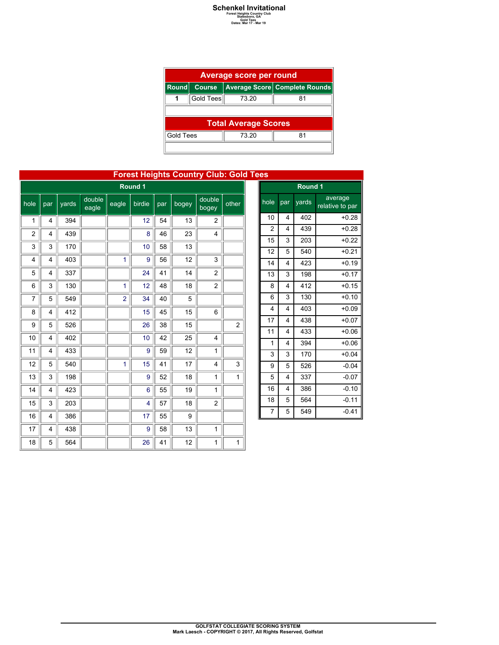## **Schenkel Invitational**<br>
Forest Heights Country Club<br>
Gold Tees<br>
Dates: Mar 17 - Mar 19

|                  | Average score per round |                             |                               |  |  |  |  |  |  |  |
|------------------|-------------------------|-----------------------------|-------------------------------|--|--|--|--|--|--|--|
| <b>Round</b>     | <b>Course</b>           |                             | Average Score Complete Rounds |  |  |  |  |  |  |  |
|                  | Gold Tees               | 73.20                       | 81                            |  |  |  |  |  |  |  |
|                  |                         |                             |                               |  |  |  |  |  |  |  |
|                  |                         | <b>Total Average Scores</b> |                               |  |  |  |  |  |  |  |
| <b>Gold Tees</b> |                         | 73 20                       | 81                            |  |  |  |  |  |  |  |
|                  |                         |                             |                               |  |  |  |  |  |  |  |

|         |                |       |                 |                |        |     |       | <b>Forest Heights Country Club: Gold Tees</b> |                |
|---------|----------------|-------|-----------------|----------------|--------|-----|-------|-----------------------------------------------|----------------|
| Round 1 |                |       |                 |                |        |     |       |                                               |                |
| hole    | par            | yards | double<br>eagle | eagle          | birdie | par | bogey | double<br>bogey                               | other          |
| 1       | $\overline{4}$ | 394   |                 |                | 12     | 54  | 13    | $\overline{2}$                                |                |
| 2       | 4              | 439   |                 |                | 8      | 46  | 23    | 4                                             |                |
| 3       | 3              | 170   |                 |                | 10     | 58  | 13    |                                               |                |
| 4       | 4              | 403   |                 | 1              | 9      | 56  | 12    | 3                                             |                |
| 5       | 4              | 337   |                 |                | 24     | 41  | 14    | $\overline{2}$                                |                |
| 6       | 3              | 130   |                 | 1              | 12     | 48  | 18    | $\overline{2}$                                |                |
| 7       | 5              | 549   |                 | $\overline{2}$ | 34     | 40  | 5     |                                               |                |
| 8       | 4              | 412   |                 |                | 15     | 45  | 15    | 6                                             |                |
| 9       | 5              | 526   |                 |                | 26     | 38  | 15    |                                               | $\overline{c}$ |
| 10      | 4              | 402   |                 |                | 10     | 42  | 25    | 4                                             |                |
| 11      | 4              | 433   |                 |                | 9      | 59  | 12    | $\mathbf{1}$                                  |                |
| 12      | 5              | 540   |                 | 1              | 15     | 41  | 17    | 4                                             | 3              |
| 13      | 3              | 198   |                 |                | 9      | 52  | 18    | 1                                             | 1              |
| 14      | 4              | 423   |                 |                | 6      | 55  | 19    | $\mathbf{1}$                                  |                |
| 15      | 3              | 203   |                 |                | 4      | 57  | 18    | 2                                             |                |
| 16      | 4              | 386   |                 |                | 17     | 55  | 9     |                                               |                |
| 17      | 4              | 438   |                 |                | 9      | 58  | 13    | $\mathbf{1}$                                  |                |
| 18      | 5              | 564   |                 |                | 26     | 41  | 12    | 1                                             | $\mathbf{1}$   |

| es             |                         |       |                            |  |  |  |  |  |  |  |
|----------------|-------------------------|-------|----------------------------|--|--|--|--|--|--|--|
| Round 1        |                         |       |                            |  |  |  |  |  |  |  |
| hole           | par                     | yards | average<br>relative to par |  |  |  |  |  |  |  |
| 10             | 4                       | 402   | $+0.28$                    |  |  |  |  |  |  |  |
| $\overline{c}$ | $\overline{\mathbf{4}}$ | 439   | $+0.28$                    |  |  |  |  |  |  |  |
| 15             | 3                       | 203   | $+0.22$                    |  |  |  |  |  |  |  |
| 12             | 5                       | 540   | $+0.21$                    |  |  |  |  |  |  |  |
| 14             | 4                       | 423   | $+0.19$                    |  |  |  |  |  |  |  |
| 13             | 3                       | 198   | $+0.17$                    |  |  |  |  |  |  |  |
| 8              | $\overline{4}$          | 412   | $+0.15$                    |  |  |  |  |  |  |  |
| 6              | 3                       | 130   | $+0.10$                    |  |  |  |  |  |  |  |
| 4              | 4                       | 403   | $+0.09$                    |  |  |  |  |  |  |  |
| 17             | 4                       | 438   | $+0.07$                    |  |  |  |  |  |  |  |
| 11             | 4                       | 433   | $+0.06$                    |  |  |  |  |  |  |  |
| 1              | 4                       | 394   | $+0.06$                    |  |  |  |  |  |  |  |
| 3              | 3                       | 170   | $+0.04$                    |  |  |  |  |  |  |  |
| 9              | 5                       | 526   | $-0.04$                    |  |  |  |  |  |  |  |
| 5              | 4                       | 337   | $-0.07$                    |  |  |  |  |  |  |  |
| 16             | 4                       | 386   | $-0.10$                    |  |  |  |  |  |  |  |
| 18             | 5                       | 564   | $-0.11$                    |  |  |  |  |  |  |  |
| $\overline{7}$ | 5                       | 549   | $-0.41$                    |  |  |  |  |  |  |  |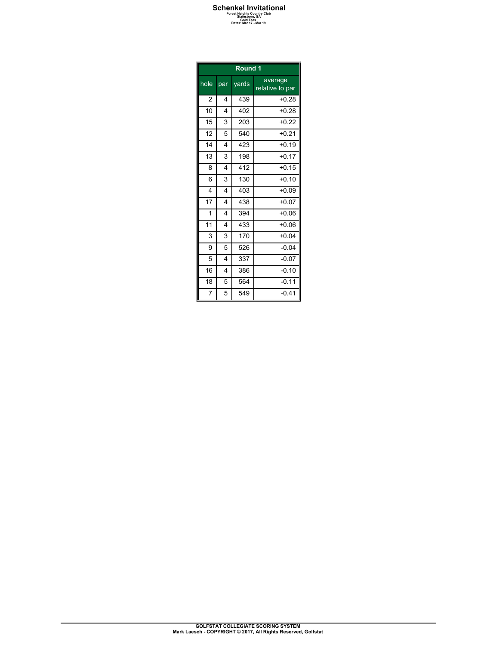## **Schenkel Invitational**<br>
Forest Heights Country Club<br>
Gold Tees<br>
Dates: Mar 17 - Mar 19

|                        | 5010 1888 |  |  |
|------------------------|-----------|--|--|
| Dates: Mar 17 - Mar 19 |           |  |  |
|                        |           |  |  |

| Round 1        |                |       |                            |  |  |  |  |  |
|----------------|----------------|-------|----------------------------|--|--|--|--|--|
| hole           | par            | yards | average<br>relative to par |  |  |  |  |  |
| 2              | 4              | 439   | $+0.28$                    |  |  |  |  |  |
| 10             | $\overline{4}$ | 402   | $+0.28$                    |  |  |  |  |  |
| 15             | 3              | 203   | $+0.22$                    |  |  |  |  |  |
| 12             | 5              | 540   | $+0.21$                    |  |  |  |  |  |
| 14             | 4              | 423   | $+0.19$                    |  |  |  |  |  |
| 13             | 3              | 198   | $+0.17$                    |  |  |  |  |  |
| 8              | 4              | 412   | $+0.15$                    |  |  |  |  |  |
| 6              | 3              | 130   | $+0.10$                    |  |  |  |  |  |
| 4              | $\overline{4}$ | 403   | $+0.09$                    |  |  |  |  |  |
| 17             | 4              | 438   | $+0.07$                    |  |  |  |  |  |
| 1              | 4              | 394   | $+0.06$                    |  |  |  |  |  |
| 11             | $\overline{4}$ | 433   | $+0.06$                    |  |  |  |  |  |
| 3              | 3              | 170   | $+0.04$                    |  |  |  |  |  |
| 9              | 5              | 526   | $-0.04$                    |  |  |  |  |  |
| 5              | 4              | 337   | $-0.07$                    |  |  |  |  |  |
| 16             | $\overline{4}$ | 386   | $-0.10$                    |  |  |  |  |  |
| 18             | 5              | 564   | $-0.11$                    |  |  |  |  |  |
| $\overline{7}$ | 5              | 549   | $-0.41$                    |  |  |  |  |  |